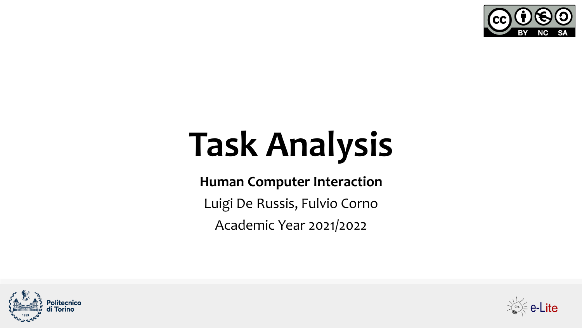

# **Task Analysis**

#### **Human Computer Interaction**

Luigi De Russis, Fulvio Corno

Academic Year 2021/2022



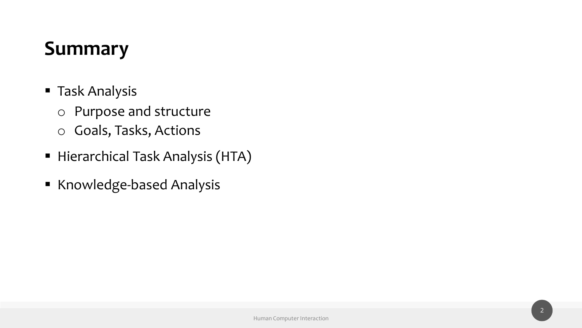## **Summary**

- Task Analysis
	- o Purpose and structure
	- o Goals, Tasks, Actions
- **E** Hierarchical Task Analysis (HTA)
- Knowledge-based Analysis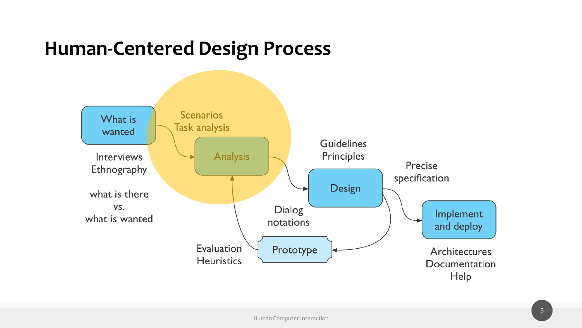#### **Human-Centered Design Process**

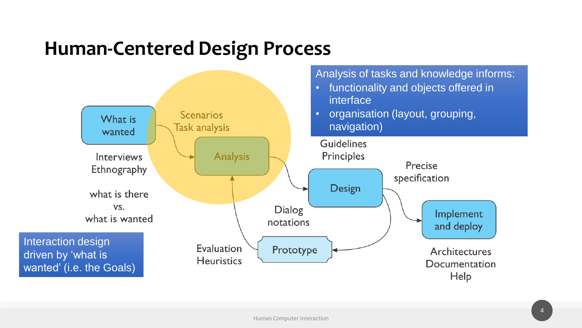#### **Human-Centered Design Process**

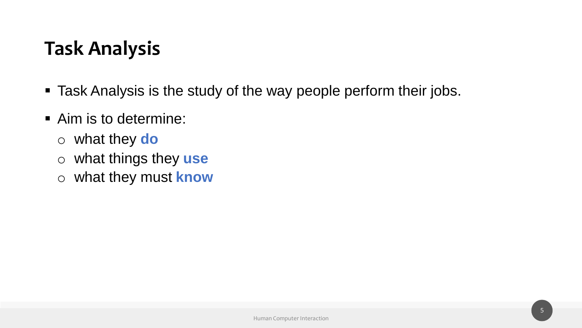## **Task Analysis**

- Task Analysis is the study of the way people perform their jobs.
- Aim is to determine:
	- o what they **do**
	- o what things they **use**
	- o what they must **know**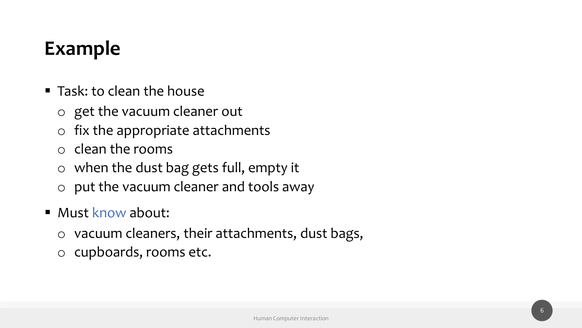## **Example**

- Task: to clean the house
	- o get the vacuum cleaner out
	- $\circ$  fix the appropriate attachments
	- o clean the rooms
	- o when the dust bag gets full, empty it
	- o put the vacuum cleaner and tools away
- Must know about:
	- o vacuum cleaners, their attachments, dust bags,
	- o cupboards, rooms etc.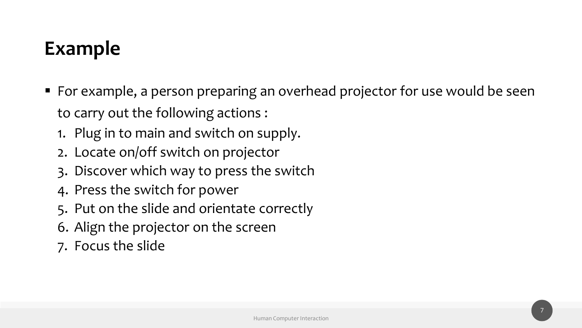## **Example**

- For example, a person preparing an overhead projector for use would be seen to carry out the following actions :
	- 1. Plug in to main and switch on supply.
	- 2. Locate on/off switch on projector
	- 3. Discover which way to press the switch
	- 4. Press the switch for power
	- 5. Put on the slide and orientate correctly
	- 6. Align the projector on the screen
	- 7. Focus the slide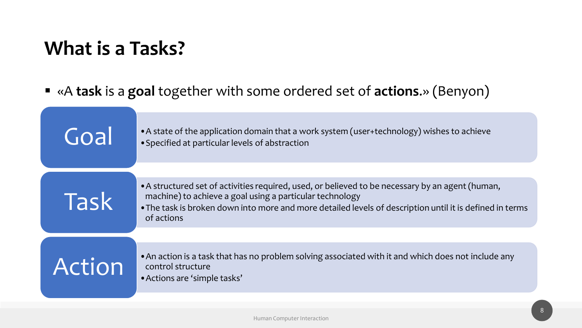## **What is a Tasks?**

#### ▪ «A **task** is a **goal** together with some ordered set of **actions**.» (Benyon)

| Goal        | • A state of the application domain that a work system (user+technology) wishes to achieve<br>• Specified at particular levels of abstraction                                                                                                                                          |
|-------------|----------------------------------------------------------------------------------------------------------------------------------------------------------------------------------------------------------------------------------------------------------------------------------------|
| <b>Task</b> | • A structured set of activities required, used, or believed to be necessary by an agent (human,<br>machine) to achieve a goal using a particular technology<br>. The task is broken down into more and more detailed levels of description until it is defined in terms<br>of actions |
| Action      | • An action is a task that has no problem solving associated with it and which does not include any<br>control structure<br>• Actions are 'simple tasks'                                                                                                                               |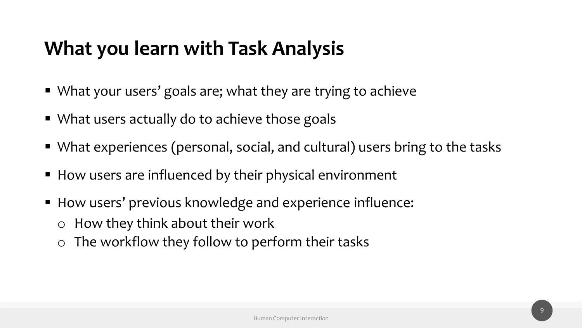## **What you learn with Task Analysis**

- What your users' goals are; what they are trying to achieve
- What users actually do to achieve those goals
- What experiences (personal, social, and cultural) users bring to the tasks
- How users are influenced by their physical environment
- How users' previous knowledge and experience influence: o How they think about their work
	- $\circ$  The workflow they follow to perform their tasks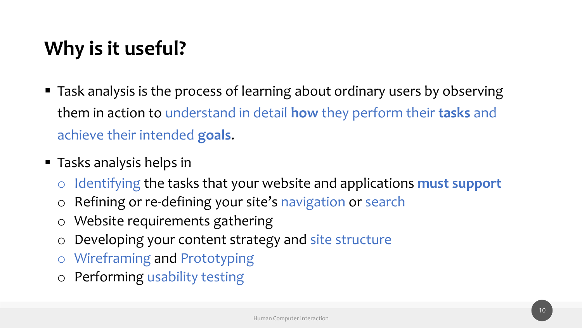## **Why is it useful?**

- Task analysis is the process of learning about ordinary users by observing them in action to understand in detail **how** they perform their **tasks** and achieve their intended **goals**.
- Tasks analysis helps in
	- o Identifying the tasks that your website and applications **must support**
	- o Refining or re-defining your site's navigation or search
	- o Website requirements gathering
	- o Developing your content strategy and site structure
	- o Wireframing and Prototyping
	- o Performing usability testing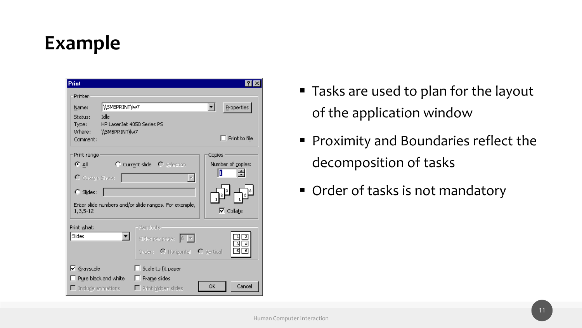## **Example**

| <b>Print</b>                                                                                                                                                                       |                                                                            |                                                    |  |  |  |  |  |
|------------------------------------------------------------------------------------------------------------------------------------------------------------------------------------|----------------------------------------------------------------------------|----------------------------------------------------|--|--|--|--|--|
| Printer<br>\\SMBPRINT\\w7<br>Name:                                                                                                                                                 |                                                                            | Properties                                         |  |  |  |  |  |
| Idle<br>Status:<br>HP LaserJet 4050 Series PS<br>Type:<br>Where:<br>\\SMBPRINT\Iw7<br>Comment:                                                                                     |                                                                            | Print to file                                      |  |  |  |  |  |
| Print range<br>Copies<br>டைவ<br>C Current slide C Selection<br>Number of copies:<br>1<br>싂<br>O Custom Show:<br>C Slides:<br>Enter slide numbers and/or slide ranges. For example, |                                                                            |                                                    |  |  |  |  |  |
| 1,3,5-12<br>Print what:<br>Slides<br>▾╽                                                                                                                                            | Handouts<br>Slides per page: $6 \times$<br>Order: O Horizontal O Vertical  | $\nabla$ Collate<br>1<br>3<br>डा<br>$\overline{6}$ |  |  |  |  |  |
| $\nabla$ Grayscale<br>Pure black and white<br>$\Box$ Include animations                                                                                                            | Scale to fit paper<br>ш<br>Frame slides<br>Ш<br>$\Box$ Print hidden slides | Cancel<br>ОК                                       |  |  |  |  |  |

- Tasks are used to plan for the layout of the application window
- Proximity and Boundaries reflect the decomposition of tasks
- Order of tasks is not mandatory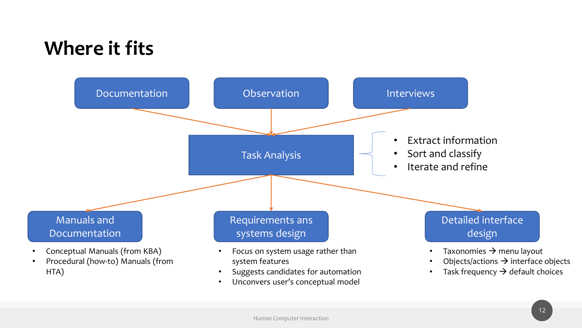## **Where it fits**

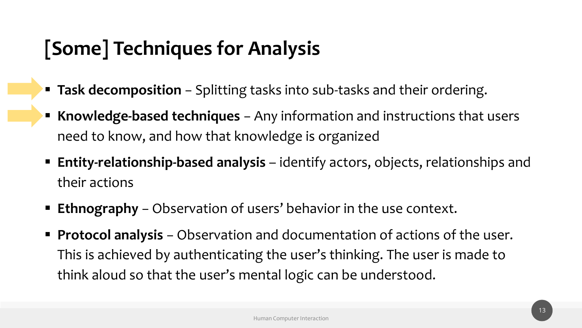## **[Some] Techniques for Analysis**

- **Task decomposition** Splitting tasks into sub-tasks and their ordering.
- **Knowledge-based techniques** − Any information and instructions that users need to know, and how that knowledge is organized
- **Entity-relationship-based analysis** identify actors, objects, relationships and their actions
- **Ethnography** − Observation of users' behavior in the use context.
- **Protocol analysis** Observation and documentation of actions of the user. This is achieved by authenticating the user's thinking. The user is made to think aloud so that the user's mental logic can be understood.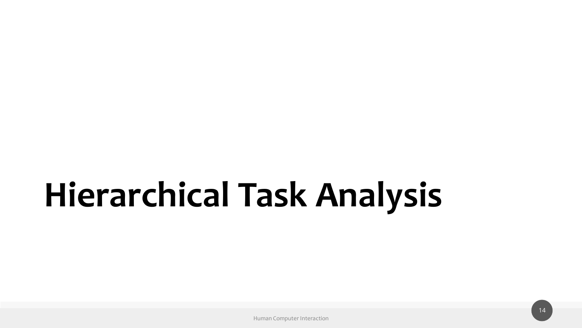# **Hierarchical Task Analysis**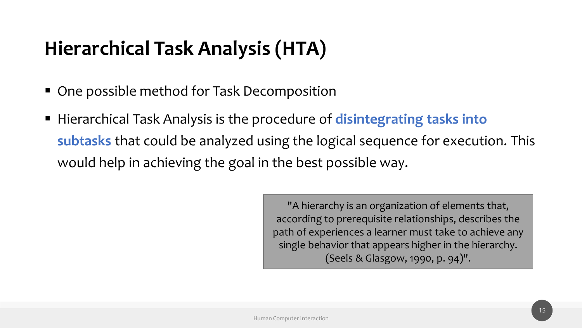## **Hierarchical Task Analysis (HTA)**

- One possible method for Task Decomposition
- Hierarchical Task Analysis is the procedure of **disintegrating tasks into subtasks** that could be analyzed using the logical sequence for execution. This would help in achieving the goal in the best possible way.

"A hierarchy is an organization of elements that, according to prerequisite relationships, describes the path of experiences a learner must take to achieve any single behavior that appears higher in the hierarchy. (Seels & Glasgow, 1990, p. 94)".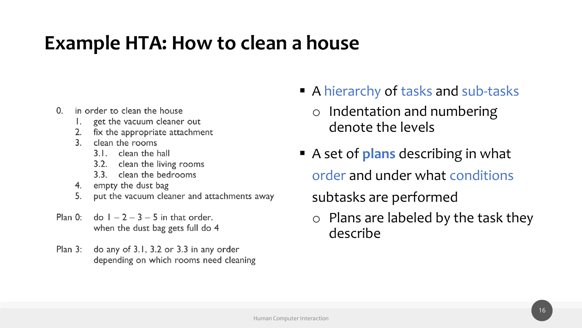#### **Example HTA: How to clean a house**

- $\Omega$ in order to clean the house
	- 1. get the vacuum cleaner out
	- 2. fix the appropriate attachment
	- $\mathbf{3}$ clean the rooms
		- 3.1. clean the hall
		- 3.2. clean the living rooms
		- 3.3. clean the bedrooms
	- 4. empty the dust bag
	- put the vacuum cleaner and attachments away  $5<sub>1</sub>$
- $Plan 0:$  $\frac{1}{2} - 2 - 3 - 5$  in that order. when the dust bag gets full do 4
- $Plan<sub>3</sub>:$ do any of 3.1, 3.2 or 3.3 in any order depending on which rooms need cleaning
- A hierarchy of tasks and sub-tasks
	- o Indentation and numbering denote the levels
- A set of **plans** describing in what order and under what conditions subtasks are performed
	- o Plans are labeled by the task they describe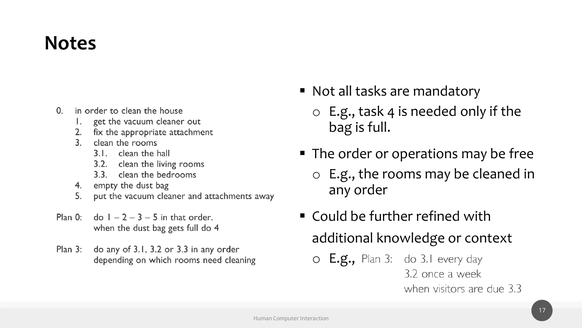#### **Notes**

- $\Omega$ . in order to clean the house
	- 1. get the vacuum cleaner out
	- 2. fix the appropriate attachment
	- $\mathbf{3}$ clean the rooms
		- 3.1. clean the hall
		- 3.2. clean the living rooms
		- 3.3. clean the bedrooms
	- 4. empty the dust bag
	- put the vacuum cleaner and attachments away  $5<sub>1</sub>$
- $Plan 0:$  $\frac{1}{2} - 2 - 3 - 5$  in that order. when the dust bag gets full do 4
- Plan 3: do any of 3.1, 3.2 or 3.3 in any order depending on which rooms need cleaning
- Not all tasks are mandatory
	- $\circ$  E.g., task 4 is needed only if the bag is full.
- The order or operations may be free
	- o E.g., the rooms may be cleaned in any order
- Could be further refined with additional knowledge or context
	- O E.g., Plan 3: do 3.1 every day 3.2 once a week when visitors are due 3.3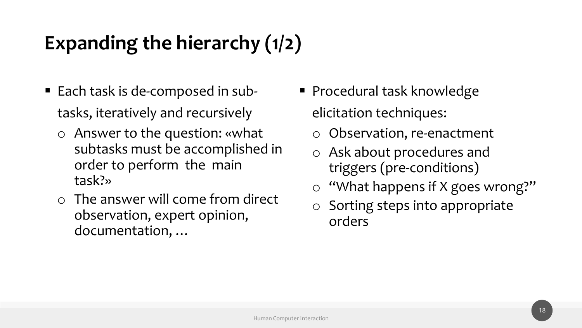## **Expanding the hierarchy (1/2)**

- Each task is de-composed in subtasks, iteratively and recursively
	- o Answer to the question: «what subtasks must be accomplished in order to perform the main task?»
	- o The answer will come from direct observation, expert opinion, documentation, …
- Procedural task knowledge elicitation techniques:
	- o Observation, re-enactment
	- o Ask about procedures and triggers (pre-conditions)
	- o "What happens if X goes wrong?"
	- o Sorting steps into appropriate orders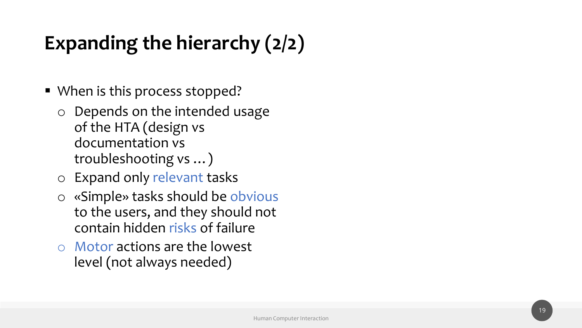## **Expanding the hierarchy (2/2)**

- When is this process stopped?
	- o Depends on the intended usage of the HTA (design vs documentation vs troubleshooting vs …)
	- o Expand only relevant tasks
	- o «Simple» tasks should be obvious to the users, and they should not contain hidden risks of failure
	- o Motor actions are the lowest level (not always needed )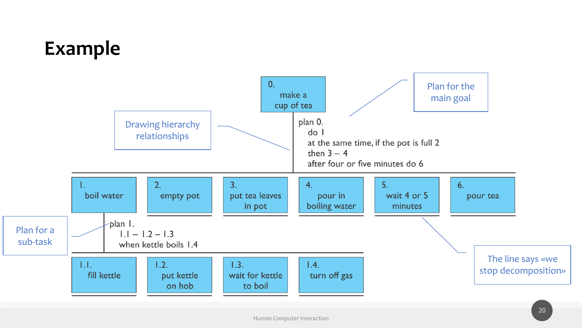## **Example**

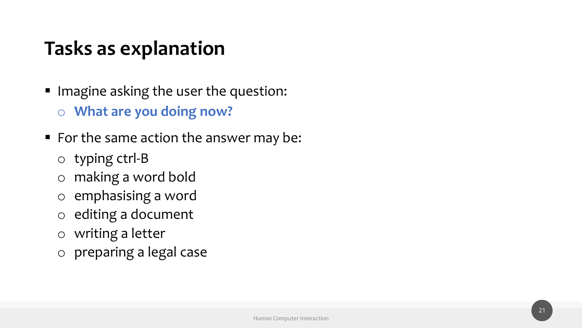## **Tasks as explanation**

- Imagine asking the user the question: o **What are you doing now?**
- For the same action the answer may be:
	- o typing ctrl-B
	- o making a word bold
	- o emphasising a word
	- o editing a document
	- o writing a letter
	- o preparing a legal case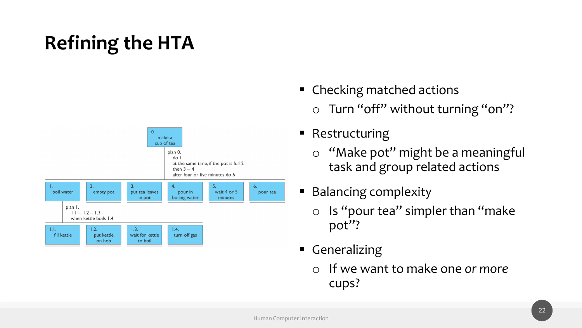## **Refining the HTA**



- Checking matched actions
	- o Turn "off" without turning "on"?
- Restructuring
	- o "Make pot" might be a meaningful task and group related actions
- Balancing complexity
	- $\circ$  Is "pour tea" simpler than "make" pot"?
- Generalizing
	- o If we want to make one *or more*  cups?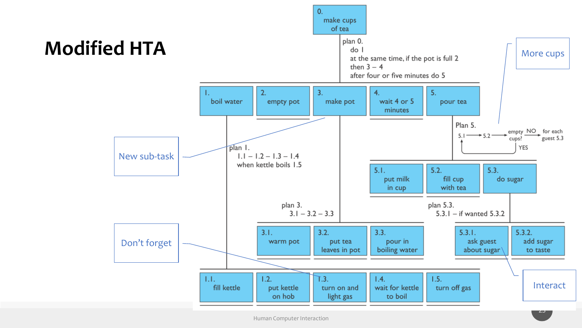

Human Computer Interaction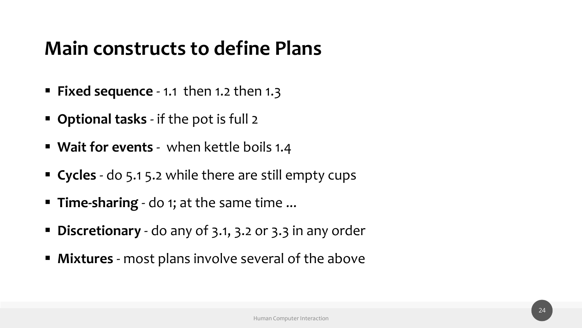### **Main constructs to define Plans**

- **Fixed sequence**  1.1 then 1.2 then 1.3
- **Optional tasks**  if the pot is full 2
- **Wait for events**  when kettle boils 1.4
- **Cycles**  do 5.1 5.2 while there are still empty cups
- **Time-sharing**  do 1; at the same time ...
- **Discretionary** do any of 3.1, 3.2 or 3.3 in any order
- **EXTERG** most plans involve several of the above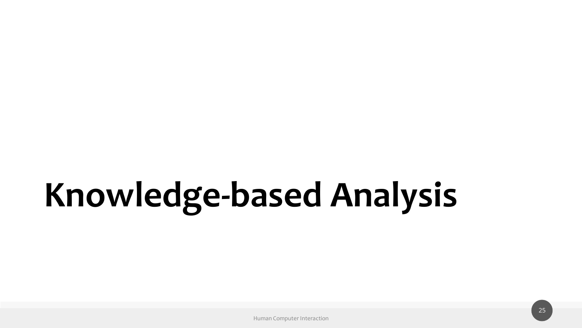# **Knowledge-based Analysis**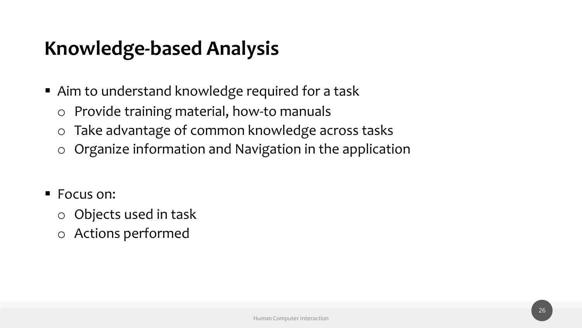## **Knowledge-based Analysis**

- Aim to understand knowledge required for a task
	- o Provide training material, how-to manuals
	- o Take advantage of common knowledge across tasks
	- o Organize information and Navigation in the application
- Focus on:
	- o Objects used in task
	- o Actions performed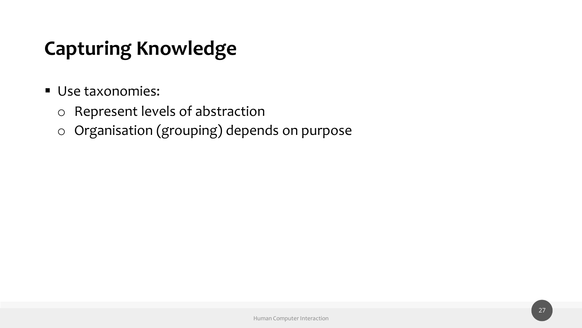## **Capturing Knowledge**

- Use taxonomies:
	- o Represent levels of abstraction
	- o Organisation (grouping) depends on purpose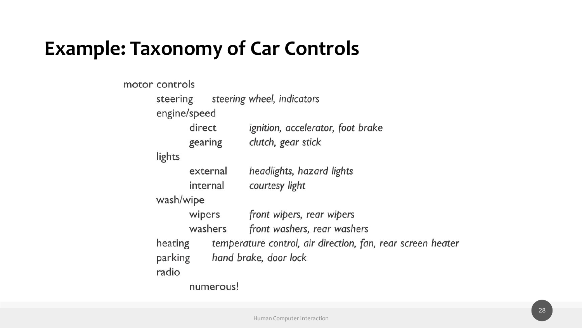#### **Example: Taxonomy of Car Controls**

motor controls steering wheel, indicators steering engine/speed direct ignition, accelerator, foot brake clutch, gear stick gearing lights headlights, hazard lights external internal courtesy light wash/wipe front wipers, rear wipers wipers washers front washers, rear washers temperature control, air direction, fan, rear screen heater heating hand brake, door lock parking radio numerous!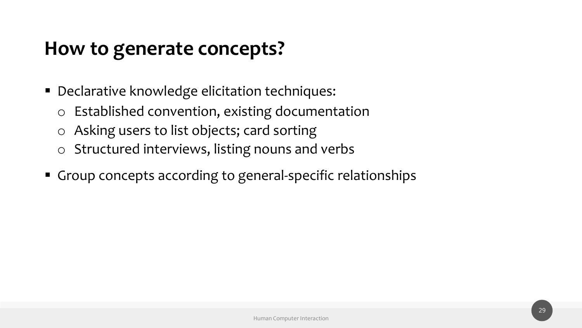#### **How to generate concepts?**

- Declarative knowledge elicitation techniques:
	- o Established convention, existing documentation
	- o Asking users to list objects; card sorting
	- o Structured interviews, listing nouns and verbs
- Group concepts according to general-specific relationships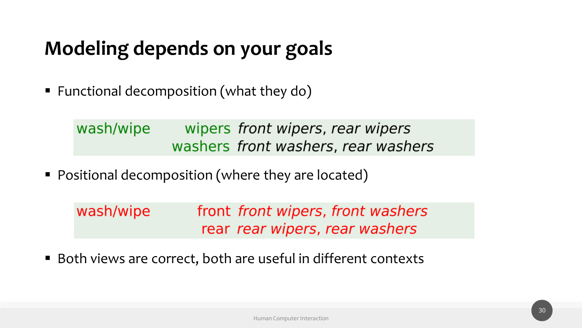## **Modeling depends on your goals**

■ Functional decomposition (what they do)

wash/wipe wipers front wipers, rear wipers washers front washers, rear washers

■ Positional decomposition (where they are located)

| wash/wipe | front front wipers, front washers |
|-----------|-----------------------------------|
|           | rear rear wipers, rear washers    |

■ Both views are correct, both are useful in different contexts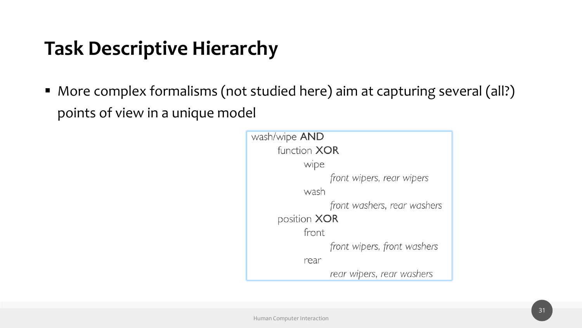## **Task Descriptive Hierarchy**

■ More complex formalisms (not studied here) aim at capturing several (all?) points of view in a unique model

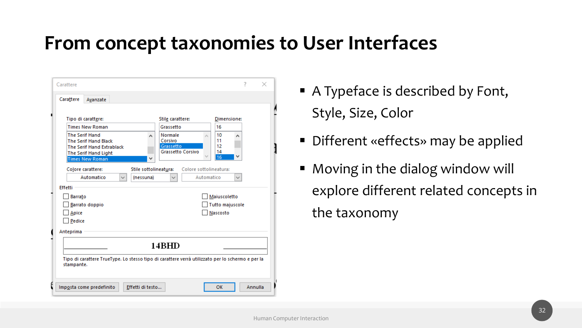#### **From concept taxonomies to User Interfaces**

| Carattere                                                                                                               |                                                                                                                                                                                                                        |              |                                         |                                                                                                              | 7                                                                                                            | ×       |  |  |  |
|-------------------------------------------------------------------------------------------------------------------------|------------------------------------------------------------------------------------------------------------------------------------------------------------------------------------------------------------------------|--------------|-----------------------------------------|--------------------------------------------------------------------------------------------------------------|--------------------------------------------------------------------------------------------------------------|---------|--|--|--|
| Carattere                                                                                                               | Avanzate                                                                                                                                                                                                               |              |                                         |                                                                                                              |                                                                                                              |         |  |  |  |
| <b>Effetti</b>                                                                                                          | Tipo di carattere:<br><b>Times New Roman</b><br><b>The Serif Hand</b><br><b>The Serif Hand Black</b><br>The Serif Hand Extrablack<br>The Serif Hand Light<br><b>Times New Roman</b><br>Colore carattere:<br>Automatico | $\checkmark$ | ۸<br>Stile sottolineatura:<br>(nessuna) | Stile carattere:<br>Grassetto<br>Normale<br>Corsivo<br>Grassetto<br><b>Grassetto Corsivo</b><br>$\checkmark$ | Dimensione:<br>16<br>10<br>۸<br>11<br>12<br>14<br>16<br>Colore sottolineatura:<br>Automatico<br>$\checkmark$ |         |  |  |  |
| <b>Barrato</b><br>Barrato doppio<br>Apice<br>Pedice                                                                     |                                                                                                                                                                                                                        |              |                                         | Maiuscoletto<br>Tutto majuscole<br>Nascosto                                                                  |                                                                                                              |         |  |  |  |
| Anteprima                                                                                                               |                                                                                                                                                                                                                        |              |                                         |                                                                                                              |                                                                                                              |         |  |  |  |
| 14BHD<br>Tipo di carattere TrueType. Lo stesso tipo di carattere verrà utilizzato per lo schermo e per la<br>stampante. |                                                                                                                                                                                                                        |              |                                         |                                                                                                              |                                                                                                              |         |  |  |  |
|                                                                                                                         | Imposta come predefinito                                                                                                                                                                                               |              | Effetti di testo                        |                                                                                                              | OK                                                                                                           | Annulla |  |  |  |

- A Typeface is described by Font, Style, Size, Color
- Different «effects» may be applied
- Moving in the dialog window will explore different related concepts in the taxonomy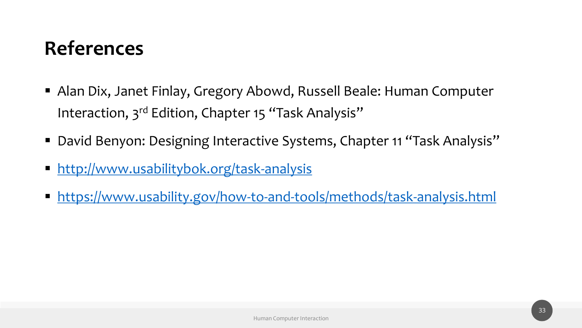## **References**

- Alan Dix, Janet Finlay, Gregory Abowd, Russell Beale: Human Computer Interaction, 3<sup>rd</sup> Edition, Chapter 15 "Task Analysis"
- David Benyon: Designing Interactive Systems, Chapter 11 "Task Analysis"
- <http://www.usabilitybok.org/task-analysis>
- <https://www.usability.gov/how-to-and-tools/methods/task-analysis.html>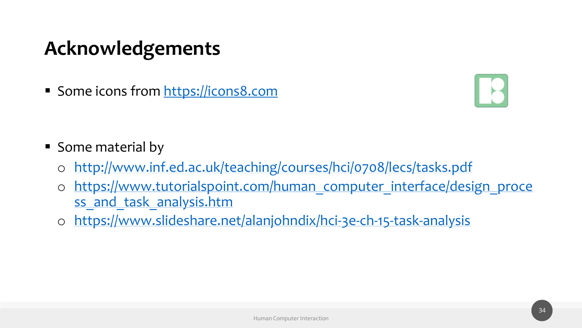## **Acknowledgements**

■ Some icons from [https://icons8.com](https://icons8.com/)



- Some material by
	- o <http://www.inf.ed.ac.uk/teaching/courses/hci/0708/lecs/tasks.pdf>
	- o [https://www.tutorialspoint.com/human\\_computer\\_interface/design\\_proce](https://www.tutorialspoint.com/human_computer_interface/design_process_and_task_analysis.htm) ss and task analysis.htm
	- o <https://www.slideshare.net/alanjohndix/hci-3e-ch-15-task-analysis>